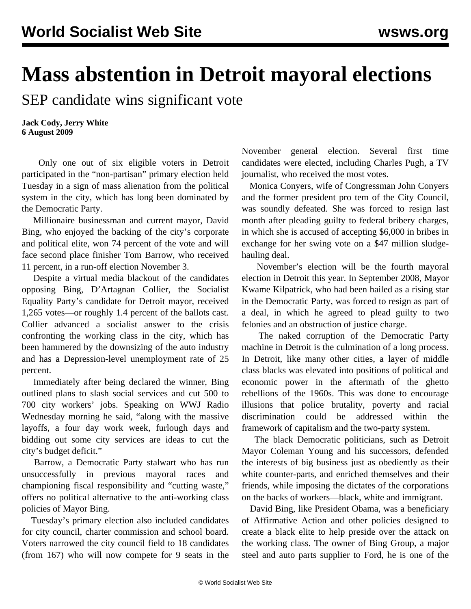## **Mass abstention in Detroit mayoral elections**

SEP candidate wins significant vote

**Jack Cody, Jerry White 6 August 2009**

 Only one out of six eligible voters in Detroit participated in the "non-partisan" primary election held Tuesday in a sign of mass alienation from the political system in the city, which has long been dominated by the Democratic Party.

 Millionaire businessman and current mayor, David Bing, who enjoyed the backing of the city's corporate and political elite, won 74 percent of the vote and will face second place finisher Tom Barrow, who received 11 percent, in a run-off election November 3.

 Despite a virtual media blackout of the candidates opposing Bing, D'Artagnan Collier, the Socialist Equality Party's candidate for Detroit mayor, received 1,265 votes—or roughly 1.4 percent of the ballots cast. Collier advanced a socialist answer to the crisis confronting the working class in the city, which has been hammered by the downsizing of the auto industry and has a Depression-level unemployment rate of 25 percent.

 Immediately after being declared the winner, Bing outlined plans to slash social services and cut 500 to 700 city workers' jobs. Speaking on WWJ Radio Wednesday morning he said, "along with the massive layoffs, a four day work week, furlough days and bidding out some city services are ideas to cut the city's budget deficit."

 Barrow, a Democratic Party stalwart who has run unsuccessfully in previous mayoral races and championing fiscal responsibility and "cutting waste," offers no political alternative to the anti-working class policies of Mayor Bing.

 Tuesday's primary election also included candidates for city council, charter commission and school board. Voters narrowed the city council field to 18 candidates (from 167) who will now compete for 9 seats in the November general election. Several first time candidates were elected, including Charles Pugh, a TV journalist, who received the most votes.

 Monica Conyers, wife of Congressman John Conyers and the former president pro tem of the City Council, was soundly defeated. She was forced to resign last month after pleading guilty to federal bribery charges, in which she is accused of accepting \$6,000 in bribes in exchange for her swing vote on a \$47 million sludgehauling deal.

 November's election will be the fourth mayoral election in Detroit this year. In September 2008, Mayor Kwame Kilpatrick, who had been hailed as a rising star in the Democratic Party, was forced to resign as part of a deal, in which he agreed to plead guilty to two felonies and an obstruction of justice charge.

 The naked corruption of the Democratic Party machine in Detroit is the culmination of a long process. In Detroit, like many other cities, a layer of middle class blacks was elevated into positions of political and economic power in the aftermath of the ghetto rebellions of the 1960s. This was done to encourage illusions that police brutality, poverty and racial discrimination could be addressed within the framework of capitalism and the two-party system.

 The black Democratic politicians, such as Detroit Mayor Coleman Young and his successors, defended the interests of big business just as obediently as their white counter-parts, and enriched themselves and their friends, while imposing the dictates of the corporations on the backs of workers—black, white and immigrant.

 David Bing, like President Obama, was a beneficiary of Affirmative Action and other policies designed to create a black elite to help preside over the attack on the working class. The owner of Bing Group, a major steel and auto parts supplier to Ford, he is one of the